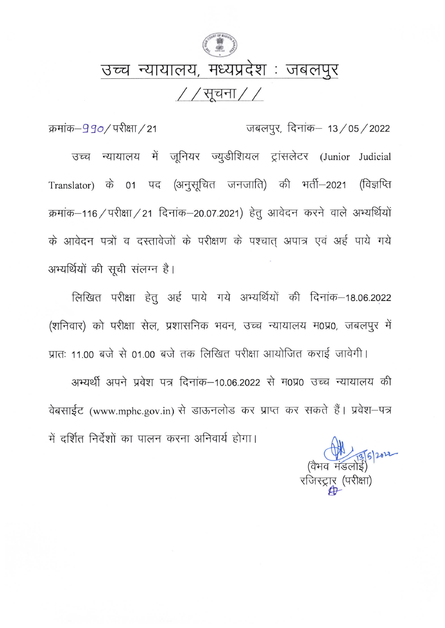

## उच्च न्यायालय, मध्यप्रदेश : जबलपुर

//सूचना//

क्रमांक–990/परीक्षा/21 जबलपुर, दिनांक– 13/05/2022 न्यायालय में जूनियर ज्युडीशियल ट्रांसलेटर (Junior Judicial उच्च Translator) के 01 पद (अनुसूचित जनजाति) की भर्ती–2021 (विज्ञप्ति क्रमांक-116 / परीक्षा / 21 दिनांक-20.07.2021) हेतु आवेदन करने वाले अभ्यर्थियों के आवेदन पत्रों व दस्तावेजों के परीक्षण के पश्चात् अपात्र एवं अर्ह पाये गये अभ्यर्थियों की सूची संलग्न है।

लिखित परीक्षा हेतु अर्ह पाये गये अभ्यर्थियों की दिनांक-18.06.2022 (शनिवार) को परीक्षा सेल, प्रशासनिक भवन, उच्च न्यायालय म0प्र0, जबलपुर में

प्रातः 11.00 बजे से 01.00 बजे तक लिखित परीक्षा आयोजित कराई जावेगी। अभ्यर्थी अपने प्रवेश पत्र दिनांक-10.06.2022 से म0प्र0 उच्च न्यायालय की वेबसाईट (www.mphc.gov.in) से डाऊनलोड कर प्राप्त कर सकते हैं। प्रवेश-पत्र में दर्शित निर्देशों का पालन करना अनिवार्य होगा।

रजिस्ट्रार (परीक्षा)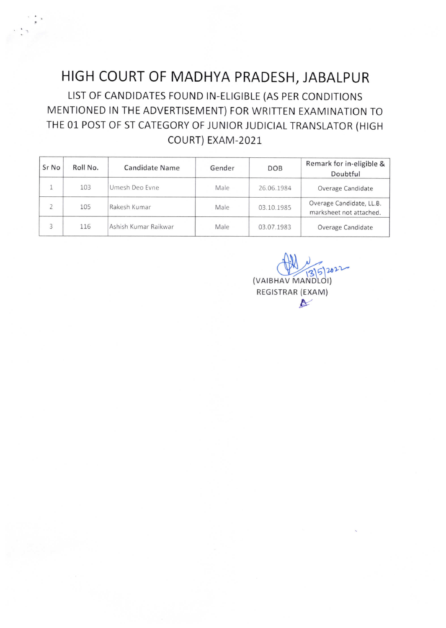## HIGH COURT OF MADHYA PRADESH, JABALPUR

LIST OF CANDIDATES FOUND IN-ELIGIBLE (AS PER CONDITIONS MENTIONED IN THE ADVERTISEMENT) FOR WRITTEN EXAMINATION TO THE 01 POST 0F ST CATEGORY OF JUNIOR JUDICIAL TRANSLATOR (HIGH COURT) EXAM-2021

| Sr No          | Roll No. | Candidate Name       | Gender | DOB        | Remark for in-eligible &<br>Doubtful                |
|----------------|----------|----------------------|--------|------------|-----------------------------------------------------|
|                | 103      | Umesh Deo Evne       | Male   | 26.06.1984 | Overage Candidate                                   |
| $\overline{2}$ | 105      | Rakesh Kumar         | Male   | 03.10.1985 | Overage Candidate, LL.B.<br>marksheet not attached. |
|                | 116      | Ashish Kumar Raikwar | Male   | 03.07.1983 | Overage Candidate                                   |

(VAIBHAV MANDLOI) REGISTRAR (EXAM)  $\blacktriangleright$